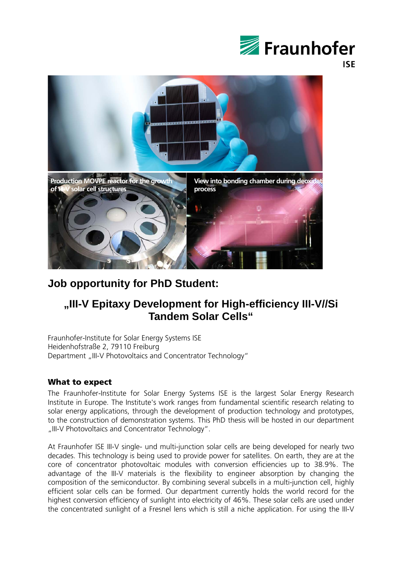

**ISE** 



## **Job opportunity for PhD Student:**

# **"III-V Epitaxy Development for High-efficiency III-V//Si Tandem Solar Cells"**

Fraunhofer-Institute for Solar Energy Systems ISE Heidenhofstraße 2, 79110 Freiburg Department "III-V Photovoltaics and Concentrator Technology"

## What to expect

The Fraunhofer-Institute for Solar Energy Systems ISE is the largest Solar Energy Research Institute in Europe. The Institute's work ranges from fundamental scientific research relating to solar energy applications, through the development of production technology and prototypes, to the construction of demonstration systems. This PhD thesis will be hosted in our department "III-V Photovoltaics and Concentrator Technology".

At Fraunhofer ISE III-V single- und multi-junction solar cells are being developed for nearly two decades. This technology is being used to provide power for satellites. On earth, they are at the core of concentrator photovoltaic modules with conversion efficiencies up to 38.9%. The advantage of the III-V materials is the flexibility to engineer absorption by changing the composition of the semiconductor. By combining several subcells in a multi-junction cell, highly efficient solar cells can be formed. Our department currently holds the world record for the highest conversion efficiency of sunlight into electricity of 46%. These solar cells are used under the concentrated sunlight of a Fresnel lens which is still a niche application. For using the III-V